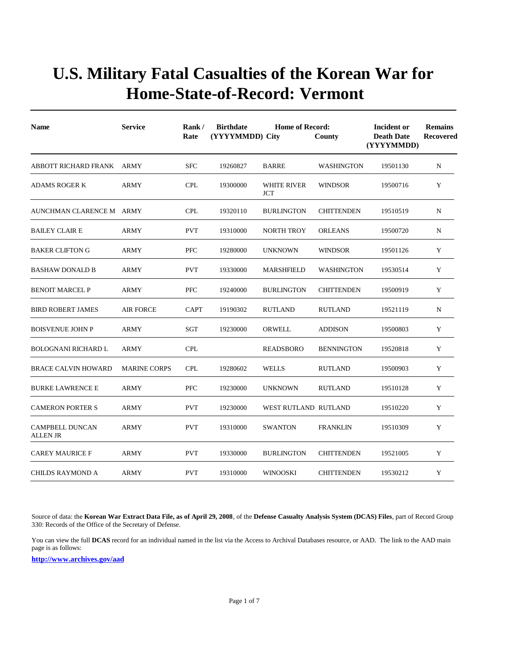| <b>Name</b>                               | <b>Service</b>      | Rank/<br>Rate | <b>Birthdate</b><br>(YYYYMMDD) City | <b>Home of Record:</b>    | County            | <b>Incident or</b><br><b>Death Date</b><br>(YYYYMMDD) | <b>Remains</b><br>Recovered |
|-------------------------------------------|---------------------|---------------|-------------------------------------|---------------------------|-------------------|-------------------------------------------------------|-----------------------------|
| ABBOTT RICHARD FRANK                      | ARMY                | <b>SFC</b>    | 19260827                            | <b>BARRE</b>              | <b>WASHINGTON</b> | 19501130                                              | N                           |
| <b>ADAMS ROGER K</b>                      | <b>ARMY</b>         | <b>CPL</b>    | 19300000                            | <b>WHITE RIVER</b><br>JCT | <b>WINDSOR</b>    | 19500716                                              | Y                           |
| AUNCHMAN CLARENCE M ARMY                  |                     | <b>CPL</b>    | 19320110                            | <b>BURLINGTON</b>         | <b>CHITTENDEN</b> | 19510519                                              | N                           |
| <b>BAILEY CLAIR E</b>                     | ARMY                | <b>PVT</b>    | 19310000                            | NORTH TROY                | <b>ORLEANS</b>    | 19500720                                              | N                           |
| <b>BAKER CLIFTON G</b>                    | ARMY                | <b>PFC</b>    | 19280000                            | <b>UNKNOWN</b>            | <b>WINDSOR</b>    | 19501126                                              | Y                           |
| <b>BASHAW DONALD B</b>                    | <b>ARMY</b>         | <b>PVT</b>    | 19330000                            | <b>MARSHFIELD</b>         | WASHINGTON        | 19530514                                              | Y                           |
| <b>BENOIT MARCEL P</b>                    | ARMY                | <b>PFC</b>    | 19240000                            | <b>BURLINGTON</b>         | <b>CHITTENDEN</b> | 19500919                                              | Y                           |
| <b>BIRD ROBERT JAMES</b>                  | <b>AIR FORCE</b>    | <b>CAPT</b>   | 19190302                            | <b>RUTLAND</b>            | <b>RUTLAND</b>    | 19521119                                              | N                           |
| <b>BOISVENUE JOHN P</b>                   | ARMY                | SGT           | 19230000                            | <b>ORWELL</b>             | <b>ADDISON</b>    | 19500803                                              | Y                           |
| <b>BOLOGNANI RICHARD L</b>                | <b>ARMY</b>         | <b>CPL</b>    |                                     | <b>READSBORO</b>          | <b>BENNINGTON</b> | 19520818                                              | Y                           |
| <b>BRACE CALVIN HOWARD</b>                | <b>MARINE CORPS</b> | <b>CPL</b>    | 19280602                            | <b>WELLS</b>              | <b>RUTLAND</b>    | 19500903                                              | Y                           |
| <b>BURKE LAWRENCE E</b>                   | <b>ARMY</b>         | <b>PFC</b>    | 19230000                            | <b>UNKNOWN</b>            | <b>RUTLAND</b>    | 19510128                                              | Y                           |
| <b>CAMERON PORTER S</b>                   | <b>ARMY</b>         | <b>PVT</b>    | 19230000                            | WEST RUTLAND RUTLAND      |                   | 19510220                                              | Y                           |
| <b>CAMPBELL DUNCAN</b><br><b>ALLEN JR</b> | <b>ARMY</b>         | <b>PVT</b>    | 19310000                            | <b>SWANTON</b>            | <b>FRANKLIN</b>   | 19510309                                              | Y                           |
| <b>CAREY MAURICE F</b>                    | ARMY                | <b>PVT</b>    | 19330000                            | <b>BURLINGTON</b>         | <b>CHITTENDEN</b> | 19521005                                              | Y                           |
| <b>CHILDS RAYMOND A</b>                   | <b>ARMY</b>         | <b>PVT</b>    | 19310000                            | <b>WINOOSKI</b>           | <b>CHITTENDEN</b> | 19530212                                              | Y                           |

Source of data: the **Korean War Extract Data File, as of April 29, 2008**, of the **Defense Casualty Analysis System (DCAS) Files**, part of Record Group 330: Records of the Office of the Secretary of Defense.

You can view the full **DCAS** record for an individual named in the list via the Access to Archival Databases resource, or AAD. The link to the AAD main page is as follows: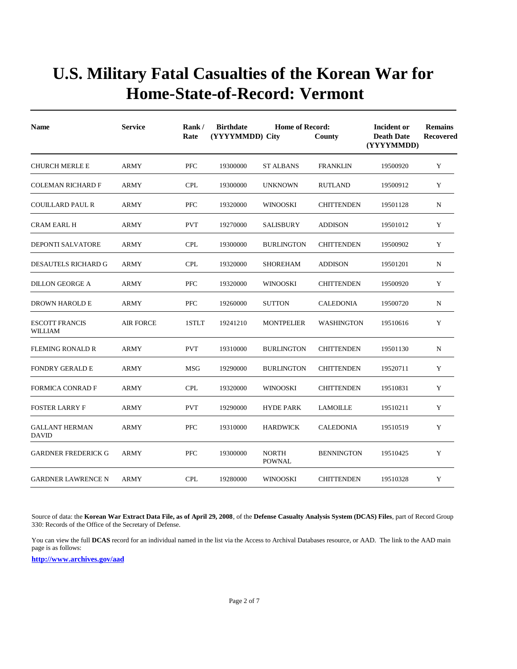| <b>Name</b>                           | <b>Service</b>   | Rank/<br>Rate | <b>Birthdate</b><br>(YYYYMMDD) City | <b>Home of Record:</b>        | County            | Incident or<br><b>Death Date</b><br>(YYYYMMDD) | <b>Remains</b><br><b>Recovered</b> |
|---------------------------------------|------------------|---------------|-------------------------------------|-------------------------------|-------------------|------------------------------------------------|------------------------------------|
| <b>CHURCH MERLE E</b>                 | <b>ARMY</b>      | <b>PFC</b>    | 19300000                            | <b>ST ALBANS</b>              | <b>FRANKLIN</b>   | 19500920                                       | Y                                  |
| <b>COLEMAN RICHARD F</b>              | <b>ARMY</b>      | <b>CPL</b>    | 19300000                            | <b>UNKNOWN</b>                | <b>RUTLAND</b>    | 19500912                                       | Y                                  |
| <b>COUILLARD PAUL R</b>               | ARMY             | <b>PFC</b>    | 19320000                            | WINOOSKI                      | <b>CHITTENDEN</b> | 19501128                                       | N                                  |
| <b>CRAM EARL H</b>                    | ARMY             | <b>PVT</b>    | 19270000                            | <b>SALISBURY</b>              | <b>ADDISON</b>    | 19501012                                       | Y                                  |
| DEPONTI SALVATORE                     | <b>ARMY</b>      | <b>CPL</b>    | 19300000                            | <b>BURLINGTON</b>             | <b>CHITTENDEN</b> | 19500902                                       | Y                                  |
| <b>DESAUTELS RICHARD G</b>            | <b>ARMY</b>      | <b>CPL</b>    | 19320000                            | <b>SHOREHAM</b>               | <b>ADDISON</b>    | 19501201                                       | N                                  |
| <b>DILLON GEORGE A</b>                | <b>ARMY</b>      | <b>PFC</b>    | 19320000                            | <b>WINOOSKI</b>               | <b>CHITTENDEN</b> | 19500920                                       | Y                                  |
| <b>DROWN HAROLD E</b>                 | ARMY             | PFC           | 19260000                            | <b>SUTTON</b>                 | <b>CALEDONIA</b>  | 19500720                                       | N                                  |
| <b>ESCOTT FRANCIS</b><br>WILLIAM      | <b>AIR FORCE</b> | 1STLT         | 19241210                            | <b>MONTPELIER</b>             | WASHINGTON        | 19510616                                       | Y                                  |
| <b>FLEMING RONALD R</b>               | <b>ARMY</b>      | <b>PVT</b>    | 19310000                            | <b>BURLINGTON</b>             | <b>CHITTENDEN</b> | 19501130                                       | N                                  |
| <b>FONDRY GERALD E</b>                | ARMY             | <b>MSG</b>    | 19290000                            | <b>BURLINGTON</b>             | <b>CHITTENDEN</b> | 19520711                                       | Y                                  |
| <b>FORMICA CONRAD F</b>               | <b>ARMY</b>      | <b>CPL</b>    | 19320000                            | <b>WINOOSKI</b>               | <b>CHITTENDEN</b> | 19510831                                       | Y                                  |
| <b>FOSTER LARRY F</b>                 | <b>ARMY</b>      | <b>PVT</b>    | 19290000                            | <b>HYDE PARK</b>              | <b>LAMOILLE</b>   | 19510211                                       | Y                                  |
| <b>GALLANT HERMAN</b><br><b>DAVID</b> | <b>ARMY</b>      | PFC           | 19310000                            | <b>HARDWICK</b>               | <b>CALEDONIA</b>  | 19510519                                       | Y                                  |
| <b>GARDNER FREDERICK G</b>            | <b>ARMY</b>      | <b>PFC</b>    | 19300000                            | <b>NORTH</b><br><b>POWNAL</b> | <b>BENNINGTON</b> | 19510425                                       | Y                                  |
| <b>GARDNER LAWRENCE N</b>             | <b>ARMY</b>      | <b>CPL</b>    | 19280000                            | WINOOSKI                      | <b>CHITTENDEN</b> | 19510328                                       | Y                                  |

Source of data: the **Korean War Extract Data File, as of April 29, 2008**, of the **Defense Casualty Analysis System (DCAS) Files**, part of Record Group 330: Records of the Office of the Secretary of Defense.

You can view the full **DCAS** record for an individual named in the list via the Access to Archival Databases resource, or AAD. The link to the AAD main page is as follows: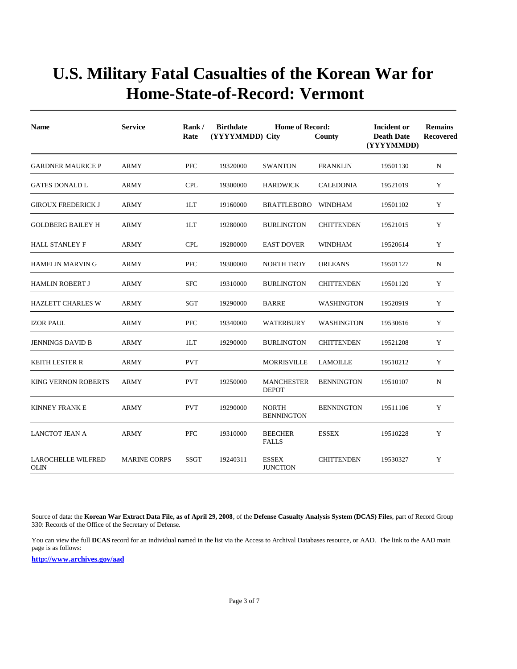| <b>Name</b>                              | <b>Service</b>      | Rank/<br>Rate | <b>Birthdate</b><br>(YYYYMMDD) City | <b>Home of Record:</b>            | County            | Incident or<br><b>Death Date</b><br>(YYYYMMDD) | <b>Remains</b><br><b>Recovered</b> |
|------------------------------------------|---------------------|---------------|-------------------------------------|-----------------------------------|-------------------|------------------------------------------------|------------------------------------|
| <b>GARDNER MAURICE P</b>                 | <b>ARMY</b>         | <b>PFC</b>    | 19320000                            | <b>SWANTON</b>                    | <b>FRANKLIN</b>   | 19501130                                       | N                                  |
| <b>GATES DONALD L</b>                    | <b>ARMY</b>         | <b>CPL</b>    | 19300000                            | <b>HARDWICK</b>                   | <b>CALEDONIA</b>  | 19521019                                       | Y                                  |
| <b>GIROUX FREDERICK J</b>                | <b>ARMY</b>         | 1LT           | 19160000                            | <b>BRATTLEBORO</b>                | <b>WINDHAM</b>    | 19501102                                       | Y                                  |
| <b>GOLDBERG BAILEY H</b>                 | <b>ARMY</b>         | 1LT           | 19280000                            | <b>BURLINGTON</b>                 | <b>CHITTENDEN</b> | 19521015                                       | Y                                  |
| <b>HALL STANLEY F</b>                    | <b>ARMY</b>         | <b>CPL</b>    | 19280000                            | <b>EAST DOVER</b>                 | <b>WINDHAM</b>    | 19520614                                       | Y                                  |
| <b>HAMELIN MARVING</b>                   | <b>ARMY</b>         | <b>PFC</b>    | 19300000                            | <b>NORTH TROY</b>                 | <b>ORLEANS</b>    | 19501127                                       | $\mathbf N$                        |
| <b>HAMLIN ROBERT J</b>                   | <b>ARMY</b>         | <b>SFC</b>    | 19310000                            | <b>BURLINGTON</b>                 | <b>CHITTENDEN</b> | 19501120                                       | Y                                  |
| <b>HAZLETT CHARLES W</b>                 | ARMY                | SGT           | 19290000                            | <b>BARRE</b>                      | <b>WASHINGTON</b> | 19520919                                       | Y                                  |
| <b>IZOR PAUL</b>                         | ARMY                | <b>PFC</b>    | 19340000                            | WATERBURY                         | WASHINGTON        | 19530616                                       | Y                                  |
| <b>JENNINGS DAVID B</b>                  | <b>ARMY</b>         | 1LT           | 19290000                            | <b>BURLINGTON</b>                 | <b>CHITTENDEN</b> | 19521208                                       | Y                                  |
| <b>KEITH LESTER R</b>                    | <b>ARMY</b>         | <b>PVT</b>    |                                     | <b>MORRISVILLE</b>                | <b>LAMOILLE</b>   | 19510212                                       | Y                                  |
| <b>KING VERNON ROBERTS</b>               | <b>ARMY</b>         | <b>PVT</b>    | 19250000                            | <b>MANCHESTER</b><br><b>DEPOT</b> | <b>BENNINGTON</b> | 19510107                                       | N                                  |
| <b>KINNEY FRANK E</b>                    | ARMY                | <b>PVT</b>    | 19290000                            | <b>NORTH</b><br><b>BENNINGTON</b> | <b>BENNINGTON</b> | 19511106                                       | Y                                  |
| LANCTOT JEAN A                           | <b>ARMY</b>         | <b>PFC</b>    | 19310000                            | <b>BEECHER</b><br><b>FALLS</b>    | <b>ESSEX</b>      | 19510228                                       | Y                                  |
| <b>LAROCHELLE WILFRED</b><br><b>OLIN</b> | <b>MARINE CORPS</b> | <b>SSGT</b>   | 19240311                            | <b>ESSEX</b><br><b>JUNCTION</b>   | <b>CHITTENDEN</b> | 19530327                                       | Y                                  |

Source of data: the **Korean War Extract Data File, as of April 29, 2008**, of the **Defense Casualty Analysis System (DCAS) Files**, part of Record Group 330: Records of the Office of the Secretary of Defense.

You can view the full **DCAS** record for an individual named in the list via the Access to Archival Databases resource, or AAD. The link to the AAD main page is as follows: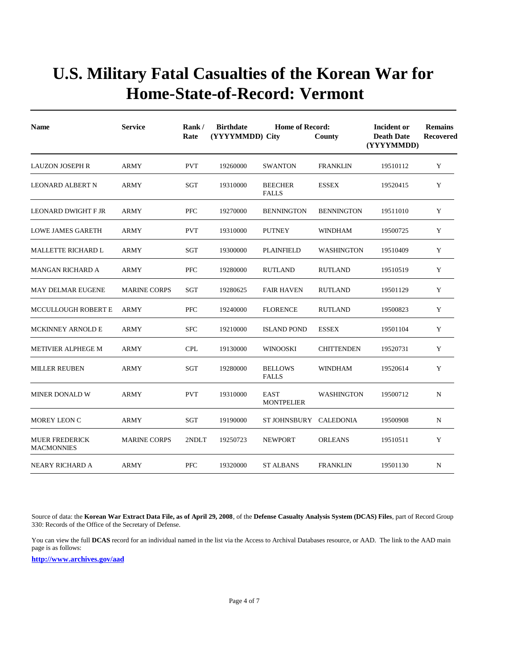| <b>Name</b>                                | <b>Service</b>      | Rank/<br>Rate | <b>Birthdate</b><br>(YYYYMMDD) City | <b>Home of Record:</b>           | County            | Incident or<br><b>Death Date</b><br>(YYYYMMDD) | <b>Remains</b><br>Recovered |
|--------------------------------------------|---------------------|---------------|-------------------------------------|----------------------------------|-------------------|------------------------------------------------|-----------------------------|
| <b>LAUZON JOSEPH R</b>                     | <b>ARMY</b>         | <b>PVT</b>    | 19260000                            | <b>SWANTON</b>                   | <b>FRANKLIN</b>   | 19510112                                       | Y                           |
| <b>LEONARD ALBERT N</b>                    | <b>ARMY</b>         | SGT           | 19310000                            | <b>BEECHER</b><br><b>FALLS</b>   | <b>ESSEX</b>      | 19520415                                       | Y                           |
| <b>LEONARD DWIGHT F JR</b>                 | <b>ARMY</b>         | <b>PFC</b>    | 19270000                            | <b>BENNINGTON</b>                | <b>BENNINGTON</b> | 19511010                                       | Y                           |
| <b>LOWE JAMES GARETH</b>                   | ARMY                | <b>PVT</b>    | 19310000                            | <b>PUTNEY</b>                    | <b>WINDHAM</b>    | 19500725                                       | Y                           |
| <b>MALLETTE RICHARD L</b>                  | <b>ARMY</b>         | <b>SGT</b>    | 19300000                            | <b>PLAINFIELD</b>                | <b>WASHINGTON</b> | 19510409                                       | Y                           |
| <b>MANGAN RICHARD A</b>                    | <b>ARMY</b>         | <b>PFC</b>    | 19280000                            | <b>RUTLAND</b>                   | <b>RUTLAND</b>    | 19510519                                       | Y                           |
| <b>MAY DELMAR EUGENE</b>                   | <b>MARINE CORPS</b> | <b>SGT</b>    | 19280625                            | <b>FAIR HAVEN</b>                | <b>RUTLAND</b>    | 19501129                                       | Y                           |
| <b>MCCULLOUGH ROBERT E</b>                 | <b>ARMY</b>         | <b>PFC</b>    | 19240000                            | <b>FLORENCE</b>                  | <b>RUTLAND</b>    | 19500823                                       | Y                           |
| MCKINNEY ARNOLD E                          | <b>ARMY</b>         | <b>SFC</b>    | 19210000                            | <b>ISLAND POND</b>               | <b>ESSEX</b>      | 19501104                                       | Y                           |
| <b>METIVIER ALPHEGE M</b>                  | <b>ARMY</b>         | <b>CPL</b>    | 19130000                            | WINOOSKI                         | <b>CHITTENDEN</b> | 19520731                                       | Y                           |
| <b>MILLER REUBEN</b>                       | <b>ARMY</b>         | SGT           | 19280000                            | <b>BELLOWS</b><br><b>FALLS</b>   | <b>WINDHAM</b>    | 19520614                                       | Y                           |
| <b>MINER DONALD W</b>                      | <b>ARMY</b>         | <b>PVT</b>    | 19310000                            | <b>EAST</b><br><b>MONTPELIER</b> | <b>WASHINGTON</b> | 19500712                                       | N                           |
| MOREY LEON C                               | ARMY                | SGT           | 19190000                            | ST JOHNSBURY                     | CALEDONIA         | 19500908                                       | N                           |
| <b>MUER FREDERICK</b><br><b>MACMONNIES</b> | <b>MARINE CORPS</b> | 2NDLT         | 19250723                            | <b>NEWPORT</b>                   | <b>ORLEANS</b>    | 19510511                                       | Y                           |
| NEARY RICHARD A                            | <b>ARMY</b>         | <b>PFC</b>    | 19320000                            | ST ALBANS                        | <b>FRANKLIN</b>   | 19501130                                       | N                           |

Source of data: the **Korean War Extract Data File, as of April 29, 2008**, of the **Defense Casualty Analysis System (DCAS) Files**, part of Record Group 330: Records of the Office of the Secretary of Defense.

You can view the full DCAS record for an individual named in the list via the Access to Archival Databases resource, or AAD. The link to the AAD main page is as follows: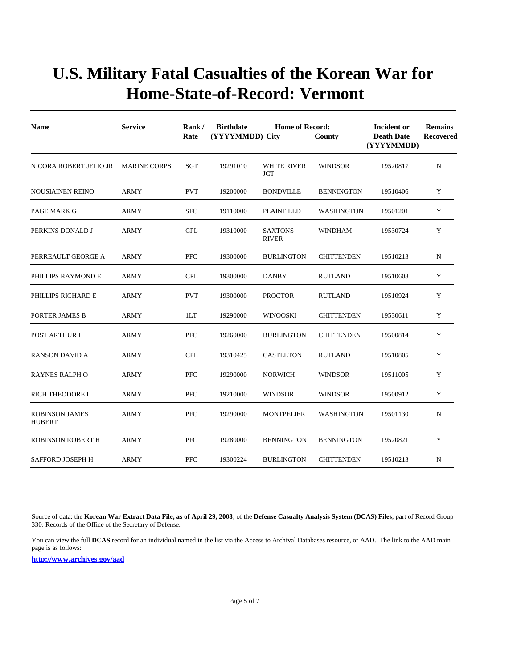| <b>Name</b>                            | <b>Service</b>      | Rank/<br>Rate | <b>Birthdate</b><br>(YYYYMMDD) City | <b>Home of Record:</b>         | County            | Incident or<br><b>Death Date</b><br>(YYYYMMDD) | <b>Remains</b><br>Recovered |  |
|----------------------------------------|---------------------|---------------|-------------------------------------|--------------------------------|-------------------|------------------------------------------------|-----------------------------|--|
| NICORA ROBERT JELIO JR                 | <b>MARINE CORPS</b> | SGT           | 19291010                            | WHITE RIVER<br>JCT             | <b>WINDSOR</b>    | 19520817                                       | $\mathbf N$                 |  |
| <b>NOUSIAINEN REINO</b>                | <b>ARMY</b>         | <b>PVT</b>    | 19200000                            | <b>BONDVILLE</b>               | <b>BENNINGTON</b> | 19510406                                       | Y                           |  |
| PAGE MARK G                            | <b>ARMY</b>         | <b>SFC</b>    | 19110000                            | <b>PLAINFIELD</b>              | <b>WASHINGTON</b> | 19501201                                       | Y                           |  |
| PERKINS DONALD J                       | <b>ARMY</b>         | <b>CPL</b>    | 19310000                            | <b>SAXTONS</b><br><b>RIVER</b> | <b>WINDHAM</b>    | 19530724                                       | Y                           |  |
| PERREAULT GEORGE A                     | <b>ARMY</b>         | <b>PFC</b>    | 19300000                            | <b>BURLINGTON</b>              | <b>CHITTENDEN</b> | 19510213                                       | $\mathbf N$                 |  |
| PHILLIPS RAYMOND E                     | <b>ARMY</b>         | <b>CPL</b>    | 19300000                            | <b>DANBY</b>                   | <b>RUTLAND</b>    | 19510608                                       | Y                           |  |
| PHILLIPS RICHARD E                     | ARMY                | <b>PVT</b>    | 19300000                            | <b>PROCTOR</b>                 | <b>RUTLAND</b>    | 19510924                                       | Y                           |  |
| PORTER JAMES B                         | <b>ARMY</b>         | 1LT           | 19290000                            | <b>WINOOSKI</b>                | <b>CHITTENDEN</b> | 19530611                                       | Y                           |  |
| POST ARTHUR H                          | <b>ARMY</b>         | <b>PFC</b>    | 19260000                            | <b>BURLINGTON</b>              | <b>CHITTENDEN</b> | 19500814                                       | Y                           |  |
| <b>RANSON DAVID A</b>                  | <b>ARMY</b>         | <b>CPL</b>    | 19310425                            | <b>CASTLETON</b>               | <b>RUTLAND</b>    | 19510805                                       | Y                           |  |
| <b>RAYNES RALPH O</b>                  | <b>ARMY</b>         | <b>PFC</b>    | 19290000                            | NORWICH                        | <b>WINDSOR</b>    | 19511005                                       | Y                           |  |
| RICH THEODORE L                        | ARMY                | <b>PFC</b>    | 19210000                            | <b>WINDSOR</b>                 | WINDSOR           | 19500912                                       | Y                           |  |
| <b>ROBINSON JAMES</b><br><b>HUBERT</b> | <b>ARMY</b>         | <b>PFC</b>    | 19290000                            | <b>MONTPELIER</b>              | WASHINGTON        | 19501130                                       | N                           |  |
| <b>ROBINSON ROBERT H</b>               | <b>ARMY</b>         | <b>PFC</b>    | 19280000                            | <b>BENNINGTON</b>              | <b>BENNINGTON</b> | 19520821                                       | Y                           |  |
| <b>SAFFORD JOSEPH H</b>                | <b>ARMY</b>         | <b>PFC</b>    | 19300224                            | <b>BURLINGTON</b>              | <b>CHITTENDEN</b> | 19510213                                       | $\mathbf N$                 |  |

Source of data: the **Korean War Extract Data File, as of April 29, 2008**, of the **Defense Casualty Analysis System (DCAS) Files**, part of Record Group 330: Records of the Office of the Secretary of Defense.

You can view the full **DCAS** record for an individual named in the list via the Access to Archival Databases resource, or AAD. The link to the AAD main page is as follows: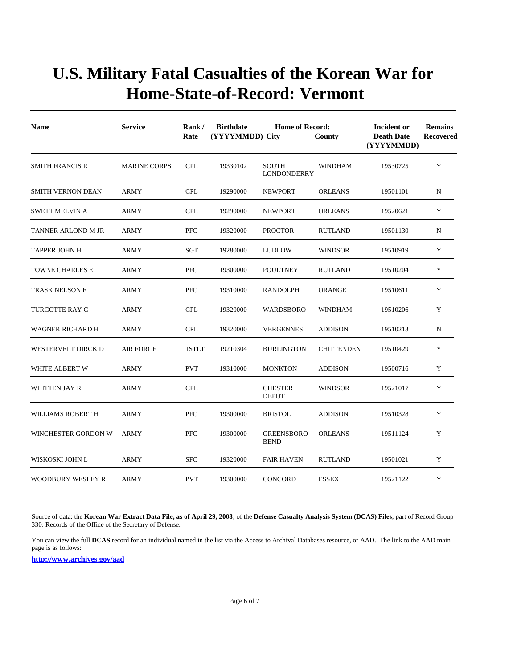| <b>Name</b>               | <b>Service</b>      | Rank/<br>Rate | <b>Birthdate</b><br>(YYYYMMDD) City | <b>Home of Record:</b>             | County            | Incident or<br><b>Death Date</b><br>(YYYYMMDD) | <b>Remains</b><br><b>Recovered</b> |
|---------------------------|---------------------|---------------|-------------------------------------|------------------------------------|-------------------|------------------------------------------------|------------------------------------|
| <b>SMITH FRANCIS R</b>    | <b>MARINE CORPS</b> | <b>CPL</b>    | 19330102                            | <b>SOUTH</b><br><b>LONDONDERRY</b> | WINDHAM           | 19530725                                       | Y                                  |
| <b>SMITH VERNON DEAN</b>  | <b>ARMY</b>         | <b>CPL</b>    | 19290000                            | <b>NEWPORT</b>                     | <b>ORLEANS</b>    | 19501101                                       | $_{\rm N}$                         |
| <b>SWETT MELVIN A</b>     | ARMY                | <b>CPL</b>    | 19290000                            | <b>NEWPORT</b>                     | <b>ORLEANS</b>    | 19520621                                       | Y                                  |
| <b>TANNER ARLOND M JR</b> | ARMY                | <b>PFC</b>    | 19320000                            | <b>PROCTOR</b>                     | <b>RUTLAND</b>    | 19501130                                       | N                                  |
| <b>TAPPER JOHN H</b>      | ARMY                | <b>SGT</b>    | 19280000                            | <b>LUDLOW</b>                      | <b>WINDSOR</b>    | 19510919                                       | Y                                  |
| TOWNE CHARLES E           | <b>ARMY</b>         | <b>PFC</b>    | 19300000                            | <b>POULTNEY</b>                    | <b>RUTLAND</b>    | 19510204                                       | Y                                  |
| <b>TRASK NELSON E</b>     | <b>ARMY</b>         | <b>PFC</b>    | 19310000                            | <b>RANDOLPH</b>                    | <b>ORANGE</b>     | 19510611                                       | Y                                  |
| TURCOTTE RAY C            | ARMY                | <b>CPL</b>    | 19320000                            | WARDSBORO                          | <b>WINDHAM</b>    | 19510206                                       | Y                                  |
| WAGNER RICHARD H          | <b>ARMY</b>         | <b>CPL</b>    | 19320000                            | <b>VERGENNES</b>                   | <b>ADDISON</b>    | 19510213                                       | $\mathbf N$                        |
| WESTERVELT DIRCK D        | <b>AIR FORCE</b>    | 1STLT         | 19210304                            | <b>BURLINGTON</b>                  | <b>CHITTENDEN</b> | 19510429                                       | Y                                  |
| WHITE ALBERT W            | <b>ARMY</b>         | <b>PVT</b>    | 19310000                            | <b>MONKTON</b>                     | <b>ADDISON</b>    | 19500716                                       | Y                                  |
| <b>WHITTEN JAY R</b>      | <b>ARMY</b>         | <b>CPL</b>    |                                     | <b>CHESTER</b><br><b>DEPOT</b>     | <b>WINDSOR</b>    | 19521017                                       | Y                                  |
| WILLIAMS ROBERT H         | <b>ARMY</b>         | <b>PFC</b>    | 19300000                            | <b>BRISTOL</b>                     | <b>ADDISON</b>    | 19510328                                       | Y                                  |
| WINCHESTER GORDON W       | <b>ARMY</b>         | <b>PFC</b>    | 19300000                            | <b>GREENSBORO</b><br><b>BEND</b>   | <b>ORLEANS</b>    | 19511124                                       | Y                                  |
| WISKOSKI JOHN L           | ARMY                | <b>SFC</b>    | 19320000                            | <b>FAIR HAVEN</b>                  | <b>RUTLAND</b>    | 19501021                                       | Y                                  |
| WOODBURY WESLEY R         | <b>ARMY</b>         | <b>PVT</b>    | 19300000                            | <b>CONCORD</b>                     | <b>ESSEX</b>      | 19521122                                       | Y                                  |

Source of data: the **Korean War Extract Data File, as of April 29, 2008**, of the **Defense Casualty Analysis System (DCAS) Files**, part of Record Group 330: Records of the Office of the Secretary of Defense.

You can view the full **DCAS** record for an individual named in the list via the Access to Archival Databases resource, or AAD. The link to the AAD main page is as follows: